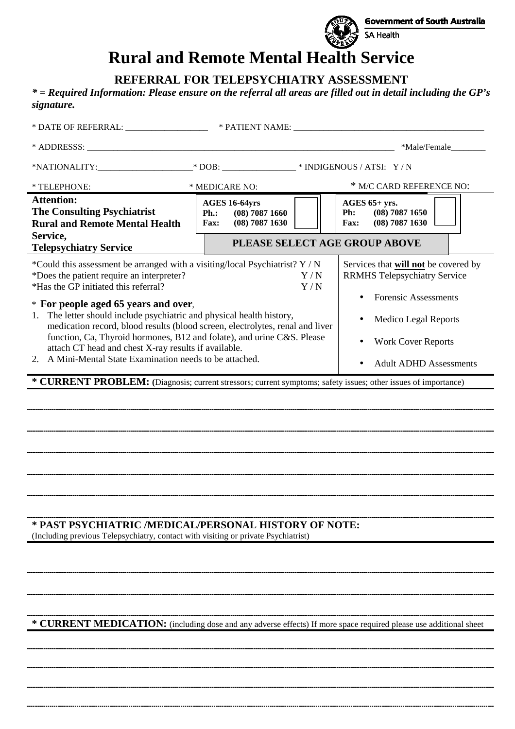

# **Rural and Remote Mental Health Service**

**REFERRAL FOR TELEPSYCHIATRY ASSESSMENT** 

*\* = Required Information: Please ensure on the referral all areas are filled out in detail including the GP's signature.* 

|                                                                                                                                                                                                                                                                                                                                                                                                                                                      |                                                                                     |  | *Male/Female____                                                                                           |  |  |  |  |
|------------------------------------------------------------------------------------------------------------------------------------------------------------------------------------------------------------------------------------------------------------------------------------------------------------------------------------------------------------------------------------------------------------------------------------------------------|-------------------------------------------------------------------------------------|--|------------------------------------------------------------------------------------------------------------|--|--|--|--|
|                                                                                                                                                                                                                                                                                                                                                                                                                                                      |                                                                                     |  |                                                                                                            |  |  |  |  |
| * TELEPHONE:                                                                                                                                                                                                                                                                                                                                                                                                                                         | * MEDICARE NO:                                                                      |  | * M/C CARD REFERENCE NO:                                                                                   |  |  |  |  |
| <b>Attention:</b><br><b>The Consulting Psychiatrist</b><br><b>Rural and Remote Mental Health</b><br>Service,                                                                                                                                                                                                                                                                                                                                         | <b>AGES 16-64yrs</b><br>$(08)$ 7087 1660<br>Ph.:<br>$(08)$ 7087 1630<br><b>Fax:</b> |  | AGES $65+$ yrs.<br>$(08)$ 7087 1650<br>Ph:<br>$(08)$ 7087 1630<br><b>Fax:</b>                              |  |  |  |  |
| <b>Telepsychiatry Service</b>                                                                                                                                                                                                                                                                                                                                                                                                                        |                                                                                     |  | PLEASE SELECT AGE GROUP ABOVE                                                                              |  |  |  |  |
| *Could this assessment be arranged with a visiting/local Psychiatrist? Y / N<br>*Does the patient require an interpreter?<br>Y/N<br>*Has the GP initiated this referral?<br>Y/N<br>* For people aged 65 years and over,                                                                                                                                                                                                                              |                                                                                     |  | Services that will not be covered by<br><b>RRMHS Telepsychiatry Service</b><br><b>Forensic Assessments</b> |  |  |  |  |
| The letter should include psychiatric and physical health history,<br>1.<br><b>Medico Legal Reports</b><br>medication record, blood results (blood screen, electrolytes, renal and liver<br>function, Ca, Thyroid hormones, B12 and folate), and urine C&S. Please<br><b>Work Cover Reports</b><br>attach CT head and chest X-ray results if available.<br>2. A Mini-Mental State Examination needs to be attached.<br><b>Adult ADHD Assessments</b> |                                                                                     |  |                                                                                                            |  |  |  |  |
| * CURRENT PROBLEM: (Diagnosis; current stressors; current symptoms; safety issues; other issues of importance)                                                                                                                                                                                                                                                                                                                                       |                                                                                     |  |                                                                                                            |  |  |  |  |
|                                                                                                                                                                                                                                                                                                                                                                                                                                                      |                                                                                     |  |                                                                                                            |  |  |  |  |
|                                                                                                                                                                                                                                                                                                                                                                                                                                                      |                                                                                     |  |                                                                                                            |  |  |  |  |
|                                                                                                                                                                                                                                                                                                                                                                                                                                                      |                                                                                     |  |                                                                                                            |  |  |  |  |
|                                                                                                                                                                                                                                                                                                                                                                                                                                                      |                                                                                     |  |                                                                                                            |  |  |  |  |
|                                                                                                                                                                                                                                                                                                                                                                                                                                                      |                                                                                     |  |                                                                                                            |  |  |  |  |
|                                                                                                                                                                                                                                                                                                                                                                                                                                                      |                                                                                     |  |                                                                                                            |  |  |  |  |
| * PAST PSYCHIATRIC /MEDICAL/PERSONAL HISTORY OF NOTE:<br>(Including previous Telepsychiatry, contact with visiting or private Psychiatrist)                                                                                                                                                                                                                                                                                                          |                                                                                     |  |                                                                                                            |  |  |  |  |
|                                                                                                                                                                                                                                                                                                                                                                                                                                                      |                                                                                     |  |                                                                                                            |  |  |  |  |
|                                                                                                                                                                                                                                                                                                                                                                                                                                                      |                                                                                     |  |                                                                                                            |  |  |  |  |
|                                                                                                                                                                                                                                                                                                                                                                                                                                                      |                                                                                     |  |                                                                                                            |  |  |  |  |

**\* CURRENT MEDICATION:** (including dose and any adverse effects) If more space required please use additional sheet